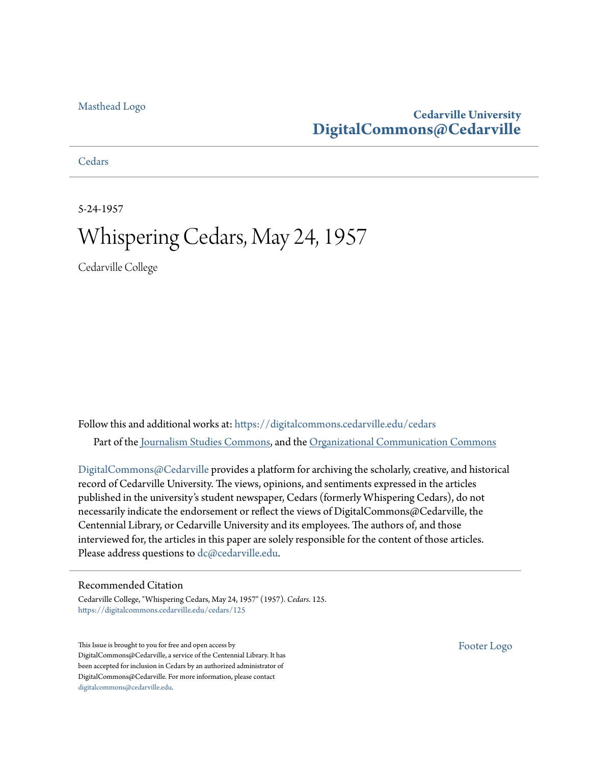#### [Masthead Logo](http://www.cedarville.edu/?utm_source=digitalcommons.cedarville.edu%2Fcedars%2F125&utm_medium=PDF&utm_campaign=PDFCoverPages)

## **Cedarville University [DigitalCommons@Cedarville](https://digitalcommons.cedarville.edu?utm_source=digitalcommons.cedarville.edu%2Fcedars%2F125&utm_medium=PDF&utm_campaign=PDFCoverPages)**

**[Cedars](https://digitalcommons.cedarville.edu/cedars?utm_source=digitalcommons.cedarville.edu%2Fcedars%2F125&utm_medium=PDF&utm_campaign=PDFCoverPages)** 

5-24-1957

# Whispering Cedars, May 24, 1957

Cedarville College

Follow this and additional works at: [https://digitalcommons.cedarville.edu/cedars](https://digitalcommons.cedarville.edu/cedars?utm_source=digitalcommons.cedarville.edu%2Fcedars%2F125&utm_medium=PDF&utm_campaign=PDFCoverPages) Part of the [Journalism Studies Commons](http://network.bepress.com/hgg/discipline/333?utm_source=digitalcommons.cedarville.edu%2Fcedars%2F125&utm_medium=PDF&utm_campaign=PDFCoverPages), and the [Organizational Communication Commons](http://network.bepress.com/hgg/discipline/335?utm_source=digitalcommons.cedarville.edu%2Fcedars%2F125&utm_medium=PDF&utm_campaign=PDFCoverPages)

[DigitalCommons@Cedarville](http://digitalcommons.cedarville.edu/) provides a platform for archiving the scholarly, creative, and historical record of Cedarville University. The views, opinions, and sentiments expressed in the articles published in the university's student newspaper, Cedars (formerly Whispering Cedars), do not necessarily indicate the endorsement or reflect the views of DigitalCommons@Cedarville, the Centennial Library, or Cedarville University and its employees. The authors of, and those interviewed for, the articles in this paper are solely responsible for the content of those articles. Please address questions to [dc@cedarville.edu.](mailto:dc@cedarville.edu)

#### Recommended Citation

Cedarville College, "Whispering Cedars, May 24, 1957" (1957). *Cedars*. 125. [https://digitalcommons.cedarville.edu/cedars/125](https://digitalcommons.cedarville.edu/cedars/125?utm_source=digitalcommons.cedarville.edu%2Fcedars%2F125&utm_medium=PDF&utm_campaign=PDFCoverPages)

This Issue is brought to you for free and open access by DigitalCommons@Cedarville, a service of the Centennial Library. It has been accepted for inclusion in Cedars by an authorized administrator of DigitalCommons@Cedarville. For more information, please contact [digitalcommons@cedarville.edu](mailto:digitalcommons@cedarville.edu).

[Footer Logo](http://www.cedarville.edu/Academics/Library.aspx?utm_source=digitalcommons.cedarville.edu%2Fcedars%2F125&utm_medium=PDF&utm_campaign=PDFCoverPages)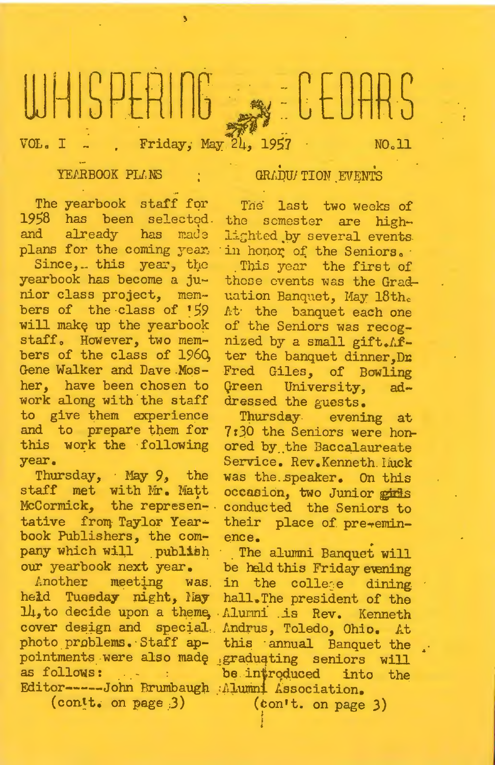# WHISPERING SECEDARS

VOL. I . Friday, May 24, 1957

NO.11

#### YEARBOOK PLANS

GRADU/TION EVENTS

The yearbook staff for 1958 has been selected. and already has made plans for the coming year.

Since, this year, the yearbook has become a junior class project, members of the class of 159 will make up the yearbook staff. However, two members of the class of 1960, Gene Walker and Dave Mosher, have been chosen to work along with the staff to give them experience and to prepare them for this work the following year.

Thursday, May 9, the staff met with Mr. Matt McCormick, the representative from Taylor Yearbook Publishers, the company which will publish our yearbook next year.

held Tuesday night, hay hall. The president of the 14, to decide upon a theme, Alumni is Rev. Kenneth cover design and special. Andrus, Toledo, Ohio. At pointments were also made graduating seniors will as follows: : be introduced into the Editor-----John Brumbaugh Alumni Association.  $($ contt. on page  $3)$ 

The last two weeks of the somester are highlighted by several events. in honor of the Seniors.

This year the first of these events was the Graduation Banquet, May 18th. At the banquet each one of the Seniors was recognized by a small gift. After the banquet dinner, Dr. Fred Giles, of Bowling Green University, addressed the guests.

Thursday evening at 7:30 the Seniors were honored by the Baccalaureate Service. Rev. Kenneth lack was the speaker. On this occasion, two Junior girls conducted the Seniors to their place of pre-eminence.

The alumni Banquet will be held this Friday evening Another meeting was in the college dining photo problems. Staff ap- this annual Banquet the

 $(con't.$  on page 3)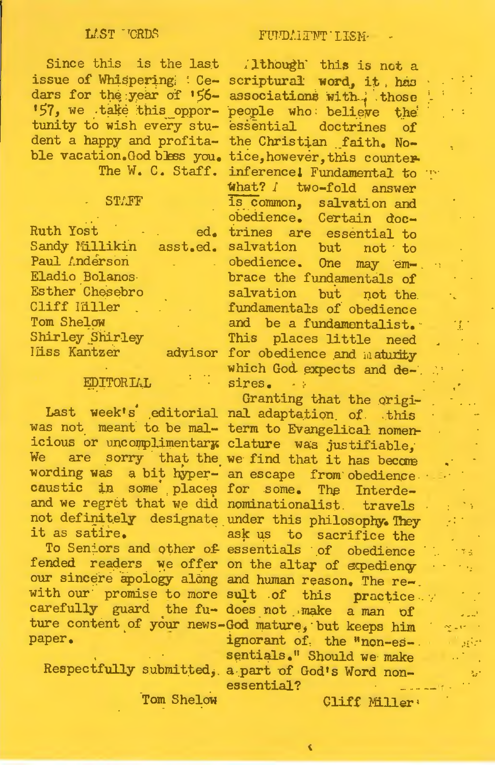#### LAST TORDS

Since this is the last (lthough this is not a tunity to wish every student a happy and profita-

#### **STAFF**

**Ruth Yost** Eladio Bolanos Esther Chesebro Cliff Hiller Tom Shelow **Shirley Shirley** 

#### EDITORIAL

it as satire.

paper.

Tom Shelow

issue of Whispering : Ce- scriptural word, it, has dars for the year of '56- associations with those '57, we take this oppor- people who believe the essential doctrines of the Christian faith. Noble vacation. God bless you. tice, however, this counter-The W. C. Staff. inference! Fundamental to what? I two-fold answer is common, salvation and obedience. Certain doced. trines are essential to Sandy Millikin asst.ed. salvation but not to<br>Paul Anderson obedience. One may embrace the rundementals<br>salvation but not the<br>fundamentals of obedience<br>and be a fundamentalist. brace the fundamentals of This places little need liiss Kantzer advisor for obedience and maturity which God expects and desires.  $\sim 10$ 

Granting that the origi-Last week's editorial nal adaptation of this was not meant to be mal- term to Evangelical nomenicious or uncomplimentary clature was justifiable,<br>We are sorry that the we find that it has become wording was a bit hyper- an escape from obedience. caustic in some places for some. The Interdeand we regret that we did nominationalist. travels not definitely designate under this philosophy. They ask us to sacrifice the To Seniors and other of essentials of obedience fended readers we offer on the altar of expediency our sincere apology along and human reason. The rewith our promise to more sult of this practice. ture content of your news-God mature, but keeps him ignorant of the "non-essentials." Should we make Respectfully submitted, a part of God's Word nonessential?

Cliff Miller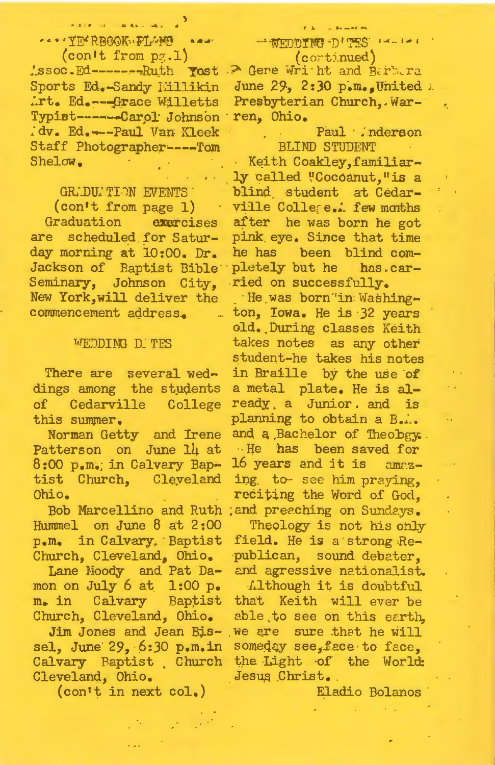.<br>Kalendar Salas Salah Indonesia CARCTER REGORDED RAW (con't from  $p_{\mathbb{Z}}.1$ )

Assoc.Ed--------Ruth Yost > Gene Writh and Barbera Sports Ed. Sandy Millikin Art. Ed. --- Grace Willetts Typist------Carol Johnson ren, Ohio. dv. Ed. --- Paul Van Kleek Staff Photographer----Tom Shelow.

#### GRADUATION EVENTS

(con't from page 1) Graduation exercises are scheduled for Saturday morning at 10:00. Dr. Jackson of Baptist Bible Seminary, Johnson City, New York, will deliver the commencement address.

#### WEDDING D. TES

There are several weddings among the students of Cedarville College this summer.

Norman Getty and Irene Patterson on June 14 at 8:00 p.m. in Calvary Baptist Church, Cleveland Ohio.

Hummel on June 8 at 2:00 p.m. in Calvary Baptist Church, Cleveland, Ohio.

Lane Moody and Pat Damon on July 6 at 1:00 p. m. in Calvary Baptist Church, Cleveland, Ohio.

sel, June 29, 6:30 p.m.in Calvary Baptist Church Cleveland, Ohio.

(con't in next col.)

#### - WEDDING D'TES IN IA  $($ cortinued $)$

June 29, 2:30 p.m. United a Presbyterian Church. War-

> Paul inderson **BLIND STUDENT**

Keith Coakley, familiarly called "Cocoanut, "is a blind student at Cedarville College. few months after he was born he got pink eye. Since that time he has been blind completely but he has.carried on successfully.

He was born 'in Washington, Iowa. He is 32 years old. During classes Keith takes notes as any other student-he takes his notes in Braille by the use of a metal plate. He is already a Junior and is planning to obtain a B.i. and a Bachelor of Theobgy. .. He has been saved for 16 years and it is amazing to see him praying, reciting the Word of God. Bob Marcellino and Ruth ; and preaching on Sundays. Theology is not his only field. He is a strong Re-

publican, sound debater. and agressive nationalist.

Although it is doubtful that Keith will ever be able to see on this earth. Jim Jones and Jean Bis-, we are sure that he will someday see, face to face. the Light of the World: Jesus Christ.

Eladio Bolanos